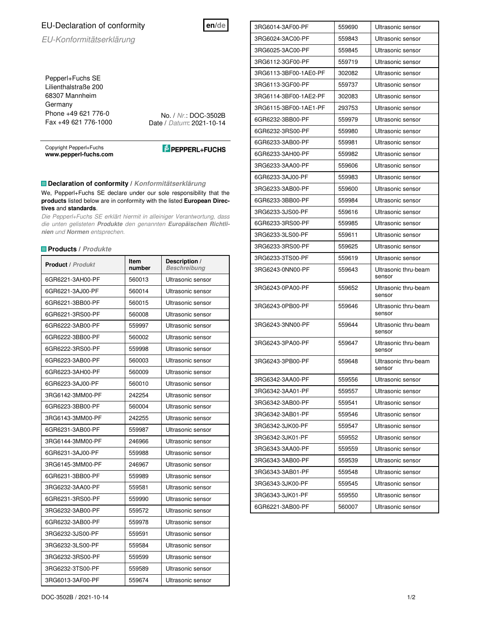## EU-Declaration of conformity

EU-Konformitätserklärung

Pepperl+Fuchs SE Lilienthalstraße 200 68307 Mannheim Germany Phone +49 621 776-0 Fax +49 621 776-1000

No. / Nr.: DOC-3502B Date / Datum: 2021-10-14

Copyright Pepperl+Fuchs **www.pepperl-fuchs.com** 

**PEPPERL+FUCHS** 

**en/de**

## **Declaration of conformity / Konformitätserklärung**

We, Pepperl+Fuchs SE declare under our sole responsibility that the **products** listed below are in conformity with the listed **European Directives** and **standards**.

Die Pepperl+Fuchs SE erklärt hiermit in alleiniger Verantwortung, dass die unten gelisteten **Produkte** den genannten **Europäischen Richtlinien** und **Normen** entsprechen.

## **Products / Produkte**

| <b>Product / Produkt</b> | <b>Item</b><br>number | Description /<br><b>Beschreibung</b> |
|--------------------------|-----------------------|--------------------------------------|
| 6GR6221-3AH00-PF         | 560013                | Ultrasonic sensor                    |
| 6GR6221-3AJ00-PF         | 560014                | Ultrasonic sensor                    |
| 6GR6221-3BB00-PF         | 560015                | Ultrasonic sensor                    |
| 6GR6221-3RS00-PF         | 560008                | Ultrasonic sensor                    |
| 6GR6222-3AB00-PF         | 559997                | Ultrasonic sensor                    |
| 6GR6222-3BB00-PF         | 560002                | Ultrasonic sensor                    |
| 6GR6222-3RS00-PF         | 559998                | Ultrasonic sensor                    |
| 6GR6223-3AB00-PF         | 560003                | Ultrasonic sensor                    |
| 6GR6223-3AH00-PF         | 560009                | Ultrasonic sensor                    |
| 6GR6223-3AJ00-PF         | 560010                | Ultrasonic sensor                    |
| 3RG6142-3MM00-PF         | 242254                | Ultrasonic sensor                    |
| 6GR6223-3BB00-PF         | 560004                | Ultrasonic sensor                    |
| 3RG6143-3MM00-PF         | 242255                | Ultrasonic sensor                    |
| 6GR6231-3AB00-PF         | 559987                | Ultrasonic sensor                    |
| 3RG6144-3MM00-PF         | 246966                | Ultrasonic sensor                    |
| 6GR6231-3AJ00-PF         | 559988                | Ultrasonic sensor                    |
| 3RG6145-3MM00-PF         | 246967                | Ultrasonic sensor                    |
| 6GR6231-3BB00-PF         | 559989                | Ultrasonic sensor                    |
| 3RG6232-3AA00-PF         | 559581                | Ultrasonic sensor                    |
| 6GR6231-3RS00-PF         | 559990                | Ultrasonic sensor                    |
| 3RG6232-3AB00-PF         | 559572                | Ultrasonic sensor                    |
| 6GR6232-3AB00-PF         | 559978                | Ultrasonic sensor                    |
| 3RG6232-3JS00-PF         | 559591                | Ultrasonic sensor                    |
| 3RG6232-3LS00-PF         | 559584                | Ultrasonic sensor                    |
| 3RG6232-3RS00-PF         | 559599                | Ultrasonic sensor                    |
| 3RG6232-3TS00-PF         | 559589                | Ultrasonic sensor                    |
| 3RG6013-3AF00-PF         | 559674                | Ultrasonic sensor                    |

3RG6014-3AF00-PF 559690 Ultrasonic sensor 3RG6024-3AC00-PF 559843 Ultrasonic sensor 3RG6025-3AC00-PF 559845 Ultrasonic sensor 3RG6112-3GF00-PF 559719 Ultrasonic sensor 3RG6113-3BF00-1AE0-PF 302082 Ultrasonic sensor 3RG6113-3GF00-PF 559737 Ultrasonic sensor 3RG6114-3BF00-1AE2-PF 302083 Ultrasonic sensor 3RG6115-3BF00-1AE1-PF 293753 Ultrasonic sensor 6GR6232-3BB00-PF 559979 Ultrasonic sensor 6GR6232-3RS00-PF 559980 Ultrasonic sensor 6GR6233-3AB00-PF 559981 Ultrasonic sensor 6GR6233-3AH00-PF 559982 Ultrasonic sensor 3RG6233-3AA00-PF 559606 Ultrasonic sensor 6GR6233-3AJ00-PF 559983 Ultrasonic sensor 3RG6233-3AB00-PF 559600 Ultrasonic sensor 6GR6233-3BB00-PF 559984 Ultrasonic sensor 3RG6233-3JS00-PF 559616 Ultrasonic sensor 6GR6233-3RS00-PF 559985 Ultrasonic sensor 3RG6233-3LS00-PF 559611 Ultrasonic sensor 3RG6233-3RS00-PF 559625 Ultrasonic sensor 3RG6233-3TS00-PF 559619 Ultrasonic sensor 3RG6243-0NN00-PF 559643 Ultrasonic thru-beam sensor 3RG6243-0PA00-PF 559652 Ultrasonic thru-beam sensor 3RG6243-0PB00-PF 559646 Ultrasonic thru-beam sensor 3RG6243-3NN00-PF 559644 Ultrasonic thru-beam sensor 3RG6243-3PA00-PF 559647 Ultrasonic thru-beam sensor 3RG6243-3PB00-PF 559648 Ultrasonic thru-beam sensor 3RG6342-3AA00-PF 559556 Ultrasonic sensor 3RG6342-3AA01-PF 559557 Ultrasonic sensor 3RG6342-3AB00-PF 559541 Ultrasonic sensor 3RG6342-3AB01-PF 559546 Ultrasonic sensor 3RG6342-3JK00-PF 559547 Ultrasonic sensor 3RG6342-3JK01-PF 559552 Ultrasonic sensor 3RG6343-3AA00-PF 559559 Ultrasonic sensor 3RG6343-3AB00-PF 559539 Ultrasonic sensor 3RG6343-3AB01-PF 559548 Ultrasonic sensor 3RG6343-3JK00-PF 559545 Ultrasonic sensor 3RG6343-3JK01-PF 559550 Ultrasonic sensor 6GR6221-3AB00-PF 560007 Ultrasonic sensor